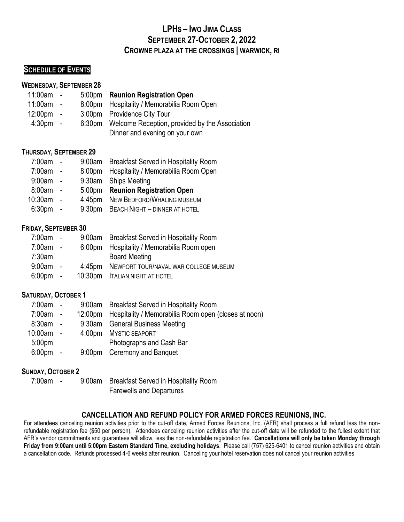# **LPHS – IWO JIMA CLASS SEPTEMBER 27-OCTOBER 2, 2022 CROWNE PLAZA AT THE CROSSINGS | WARWICK, RI**

## **SCHEDULE OF EVENTS**

#### **WEDNESDAY, SEPTEMBER 28**

## 11:00am - 5:00pm **Reunion Registration Open**

 11:00am - 8:00pm Hospitality / Memorabilia Room Open 12:00pm - 3:00pm Providence City Tour 4:30pm - 6:30pm Welcome Reception, provided by the Association Dinner and evening on your own

## **THURSDAY, SEPTEMBER 29**

| 7:00am             |                |                    | 9:00am Breakfast Served in Hospitality Room |
|--------------------|----------------|--------------------|---------------------------------------------|
| 7:00am             | $\overline{a}$ |                    | 8:00pm Hospitality / Memorabilia Room Open  |
| 9:00am             | $\sim$         |                    | 9:30am Ships Meeting                        |
| 8:00am             | $\sim$         |                    | 5:00pm Reunion Registration Open            |
| 10:30am            | $\sim$ $-$     |                    | 4:45pm NEW BEDFORD/WHALING MUSEUM           |
| 6:30 <sub>pm</sub> | $\sim$         | 9:30 <sub>pm</sub> | <b>BEACH NIGHT - DINNER AT HOTEL</b>        |

## **FRIDAY, SEPTEMBER 30**

| $7:00am -$  |  | 9:00am Breakfast Served in Hospitality Room  |
|-------------|--|----------------------------------------------|
| $7:00am -$  |  | 6:00pm Hospitality / Memorabilia Room open   |
| 7:30am      |  | <b>Board Meeting</b>                         |
| $9:00am -$  |  | 4:45pm NEWPORT TOUR/NAVAL WAR COLLEGE MUSEUM |
| $6:00$ pm - |  | 10:30pm ITALIAN NIGHT AT HOTEL               |

## **SATURDAY, OCTOBER 1**

| 7:00am -           |  | 9:00am Breakfast Served in Hospitality Room                  |
|--------------------|--|--------------------------------------------------------------|
| $7:00am -$         |  | 12:00pm Hospitality / Memorabilia Room open (closes at noon) |
| $8:30am -$         |  | 9:30am General Business Meeting                              |
| $10:00am -$        |  | 4:00pm MYSTIC SEAPORT                                        |
| 5:00 <sub>pm</sub> |  | Photographs and Cash Bar                                     |
| $6:00 \text{pm}$ - |  | 9:00pm Ceremony and Banquet                                  |

## **SUNDAY, OCTOBER 2**

| 7:00am | $\overline{\phantom{a}}$ | 9:00am Breakfast Served in Hospitality Room |
|--------|--------------------------|---------------------------------------------|
|        |                          | <b>Farewells and Departures</b>             |

## **CANCELLATION AND REFUND POLICY FOR ARMED FORCES REUNIONS, INC.**

For attendees canceling reunion activities prior to the cut-off date, Armed Forces Reunions, Inc. (AFR) shall process a full refund less the nonrefundable registration fee (\$50 per person). Attendees canceling reunion activities after the cut-off date will be refunded to the fullest extent that AFR's vendor commitments and guarantees will allow, less the non-refundable registration fee. **Cancellations will only be taken Monday through Friday from 9:00am until 5:00pm Eastern Standard Time, excluding holidays**. Please call (757) 625-6401 to cancel reunion activities and obtain a cancellation code. Refunds processed 4-6 weeks after reunion. Canceling your hotel reservation does not cancel your reunion activities